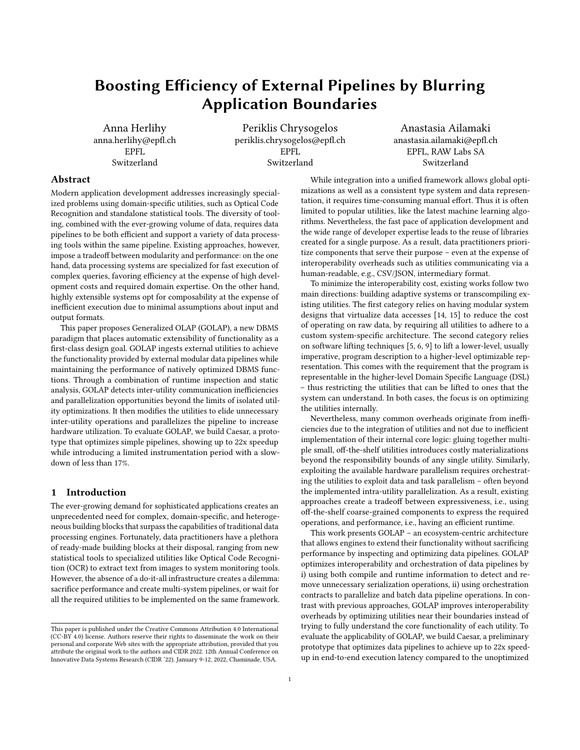# Boosting Efficiency of External Pipelines by Blurring Application Boundaries

Anna Herlihy anna.herlihy@epfl.ch EPFL Switzerland

Periklis Chrysogelos periklis.chrysogelos@epfl.ch EPFL Switzerland

Anastasia Ailamaki anastasia.ailamaki@epfl.ch EPFL, RAW Labs SA Switzerland

# Abstract

Modern application development addresses increasingly specialized problems using domain-specific utilities, such as Optical Code Recognition and standalone statistical tools. The diversity of tooling, combined with the ever-growing volume of data, requires data pipelines to be both efficient and support a variety of data processing tools within the same pipeline. Existing approaches, however, impose a tradeoff between modularity and performance: on the one hand, data processing systems are specialized for fast execution of complex queries, favoring efficiency at the expense of high development costs and required domain expertise. On the other hand, highly extensible systems opt for composability at the expense of inefficient execution due to minimal assumptions about input and output formats.

This paper proposes Generalized OLAP (GOLAP), a new DBMS paradigm that places automatic extensibility of functionality as a first-class design goal. GOLAP ingests external utilities to achieve the functionality provided by external modular data pipelines while maintaining the performance of natively optimized DBMS functions. Through a combination of runtime inspection and static analysis, GOLAP detects inter-utility communication inefficiencies and parallelization opportunities beyond the limits of isolated utility optimizations. It then modifies the utilities to elide unnecessary inter-utility operations and parallelizes the pipeline to increase hardware utilization. To evaluate GOLAP, we build Caesar, a prototype that optimizes simple pipelines, showing up to 22x speedup while introducing a limited instrumentation period with a slowdown of less than 17%.

# 1 Introduction

The ever-growing demand for sophisticated applications creates an unprecedented need for complex, domain-specific, and heterogeneous building blocks that surpass the capabilities of traditional data processing engines. Fortunately, data practitioners have a plethora of ready-made building blocks at their disposal, ranging from new statistical tools to specialized utilities like Optical Code Recognition (OCR) to extract text from images to system monitoring tools. However, the absence of a do-it-all infrastructure creates a dilemma: sacrifice performance and create multi-system pipelines, or wait for all the required utilities to be implemented on the same framework.

While integration into a unified framework allows global optimizations as well as a consistent type system and data representation, it requires time-consuming manual effort. Thus it is often limited to popular utilities, like the latest machine learning algorithms. Nevertheless, the fast pace of application development and the wide range of developer expertise leads to the reuse of libraries created for a single purpose. As a result, data practitioners prioritize components that serve their purpose – even at the expense of interoperability overheads such as utilities communicating via a human-readable, e.g., CSV/JSON, intermediary format.

To minimize the interoperability cost, existing works follow two main directions: building adaptive systems or transcompiling existing utilities. The first category relies on having modular system designs that virtualize data accesses [\[14,](#page-7-0) [15\]](#page-7-1) to reduce the cost of operating on raw data, by requiring all utilities to adhere to a custom system-specific architecture. The second category relies on software lifting techniques [\[5,](#page-7-2) [6,](#page-7-3) [9\]](#page-7-4) to lift a lower-level, usually imperative, program description to a higher-level optimizable representation. This comes with the requirement that the program is representable in the higher-level Domain Specific Language (DSL) – thus restricting the utilities that can be lifted to ones that the system can understand. In both cases, the focus is on optimizing the utilities internally.

Nevertheless, many common overheads originate from inefficiencies due to the integration of utilities and not due to inefficient implementation of their internal core logic: gluing together multiple small, off-the-shelf utilities introduces costly materializations beyond the responsibility bounds of any single utility. Similarly, exploiting the available hardware parallelism requires orchestrating the utilities to exploit data and task parallelism – often beyond the implemented intra-utility parallelization. As a result, existing approaches create a tradeoff between expressiveness, i.e., using off-the-shelf coarse-grained components to express the required operations, and performance, i.e., having an efficient runtime.

This work presents GOLAP – an ecosystem-centric architecture that allows engines to extend their functionality without sacrificing performance by inspecting and optimizing data pipelines. GOLAP optimizes interoperability and orchestration of data pipelines by i) using both compile and runtime information to detect and remove unnecessary serialization operations, ii) using orchestration contracts to parallelize and batch data pipeline operations. In contrast with previous approaches, GOLAP improves interoperability overheads by optimizing utilities near their boundaries instead of trying to fully understand the core functionality of each utility. To evaluate the applicability of GOLAP, we build Caesar, a preliminary prototype that optimizes data pipelines to achieve up to 22x speedup in end-to-end execution latency compared to the unoptimized

This paper is published under the Creative Commons Attribution 4.0 International (CC-BY 4.0) license. Authors reserve their rights to disseminate the work on their personal and corporate Web sites with the appropriate attribution, provided that you attribute the original work to the authors and CIDR 2022. 12th Annual Conference on Innovative Data Systems Research (CIDR '22). January 9-12, 2022, Chaminade, USA.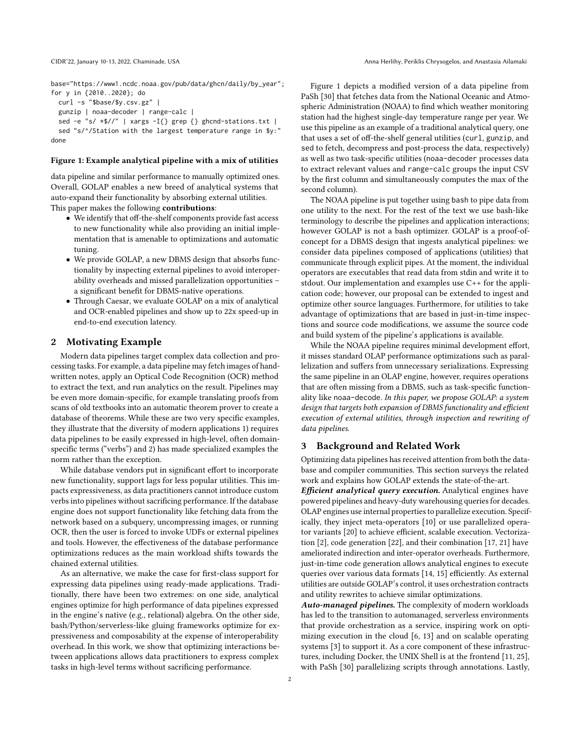done

<span id="page-1-0"></span>base="https://www1.ncdc.noaa.gov/pub/data/ghcn/daily/by\_year"; for y in {2010..2020}; do curl -s "\$base/\$y.csv.gz" | gunzip | noaa-decoder | range-calc | sed -e "s/ \*\$//" | xargs -I{} grep {} ghcnd-stations.txt | sed "s/^/Station with the largest temperature range in \$y:"

#### Figure 1: Example analytical pipeline with a mix of utilities

data pipeline and similar performance to manually optimized ones. Overall, GOLAP enables a new breed of analytical systems that auto-expand their functionality by absorbing external utilities. This paper makes the following contributions:

- We identify that off-the-shelf components provide fast access to new functionality while also providing an initial implementation that is amenable to optimizations and automatic tuning.
- We provide GOLAP, a new DBMS design that absorbs functionality by inspecting external pipelines to avoid interoperability overheads and missed parallelization opportunities – a significant benefit for DBMS-native operations.
- Through Caesar, we evaluate GOLAP on a mix of analytical and OCR-enabled pipelines and show up to 22x speed-up in end-to-end execution latency.

# <span id="page-1-1"></span>2 Motivating Example

Modern data pipelines target complex data collection and processing tasks. For example, a data pipeline may fetch images of handwritten notes, apply an Optical Code Recognition (OCR) method to extract the text, and run analytics on the result. Pipelines may be even more domain-specific, for example translating proofs from scans of old textbooks into an automatic theorem prover to create a database of theorems. While these are two very specific examples, they illustrate that the diversity of modern applications 1) requires data pipelines to be easily expressed in high-level, often domainspecific terms ("verbs") and 2) has made specialized examples the norm rather than the exception.

While database vendors put in significant effort to incorporate new functionality, support lags for less popular utilities. This impacts expressiveness, as data practitioners cannot introduce custom verbs into pipelines without sacrificing performance. If the database engine does not support functionality like fetching data from the network based on a subquery, uncompressing images, or running OCR, then the user is forced to invoke UDFs or external pipelines and tools. However, the effectiveness of the database performance optimizations reduces as the main workload shifts towards the chained external utilities.

As an alternative, we make the case for first-class support for expressing data pipelines using ready-made applications. Traditionally, there have been two extremes: on one side, analytical engines optimize for high performance of data pipelines expressed in the engine's native (e.g., relational) algebra. On the other side, bash/Python/serverless-like gluing frameworks optimize for expressiveness and composability at the expense of interoperability overhead. In this work, we show that optimizing interactions between applications allows data practitioners to express complex tasks in high-level terms without sacrificing performance.

Figure [1](#page-1-0) depicts a modified version of a data pipeline from PaSh [\[30\]](#page-7-5) that fetches data from the National Oceanic and Atmospheric Administration (NOAA) to find which weather monitoring station had the highest single-day temperature range per year. We use this pipeline as an example of a traditional analytical query, one that uses a set of off-the-shelf general utilities (curl, gunzip, and sed to fetch, decompress and post-process the data, respectively) as well as two task-specific utilities (noaa-decoder processes data to extract relevant values and range-calc groups the input CSV by the first column and simultaneously computes the max of the second column).

The NOAA pipeline is put together using bash to pipe data from one utility to the next. For the rest of the text we use bash-like terminology to describe the pipelines and application interactions; however GOLAP is not a bash optimizer. GOLAP is a proof-ofconcept for a DBMS design that ingests analytical pipelines: we consider data pipelines composed of applications (utilities) that communicate through explicit pipes. At the moment, the individual operators are executables that read data from stdin and write it to stdout. Our implementation and examples use C++ for the application code; however, our proposal can be extended to ingest and optimize other source languages. Furthermore, for utilities to take advantage of optimizations that are based in just-in-time inspections and source code modifications, we assume the source code and build system of the pipeline's applications is available.

While the NOAA pipeline requires minimal development effort, it misses standard OLAP performance optimizations such as parallelization and suffers from unnecessary serializations. Expressing the same pipeline in an OLAP engine, however, requires operations that are often missing from a DBMS, such as task-specific functionality like noaa-decode. In this paper, we propose GOLAP: a system design that targets both expansion of DBMS functionality and efficient execution of external utilities, through inspection and rewriting of data pipelines.

# 3 Background and Related Work

Optimizing data pipelines has received attention from both the database and compiler communities. This section surveys the related work and explains how GOLAP extends the state-of-the-art.

Efficient analytical query execution. Analytical engines have powered pipelines and heavy-duty warehousing queries for decades. OLAP engines use internal properties to parallelize execution. Specifically, they inject meta-operators [\[10\]](#page-7-6) or use parallelized operator variants [\[20\]](#page-7-7) to achieve efficient, scalable execution. Vectorization [\[2\]](#page-7-8), code generation [\[22\]](#page-7-9), and their combination [\[17,](#page-7-10) [21\]](#page-7-11) have ameliorated indirection and inter-operator overheads. Furthermore, just-in-time code generation allows analytical engines to execute queries over various data formats [\[14,](#page-7-0) [15\]](#page-7-1) efficiently. As external utilities are outside GOLAP's control, it uses orchestration contracts and utility rewrites to achieve similar optimizations.

Auto-managed pipelines. The complexity of modern workloads has led to the transition to automanaged, serverless environments that provide orchestration as a service, inspiring work on optimizing execution in the cloud [\[6,](#page-7-3) [13\]](#page-7-12) and on scalable operating systems [\[3\]](#page-7-13) to support it. As a core component of these infrastructures, including Docker, the UNIX Shell is at the frontend [\[11,](#page-7-14) [25\]](#page-7-15), with PaSh [\[30\]](#page-7-5) parallelizing scripts through annotations. Lastly,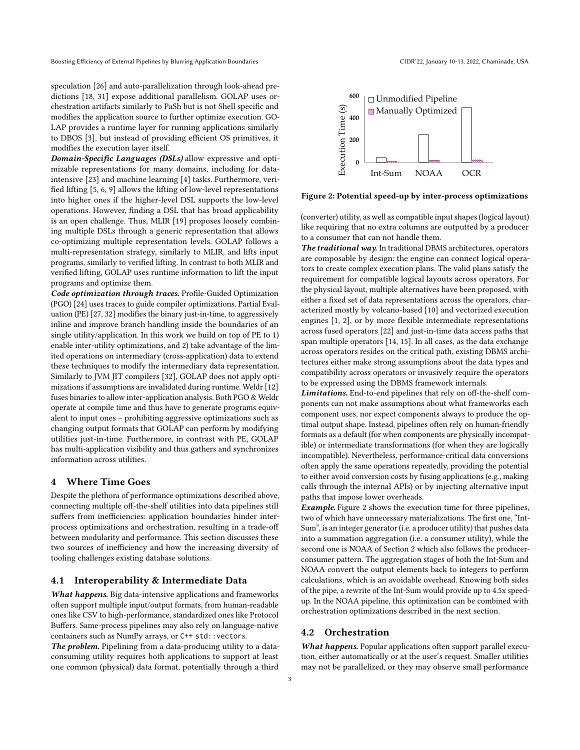Boosting Efficiency of External Pipelines by Blurring Application Boundaries Communication Communication CIDR'22, January 10-13, 2022, Chaminade, USA

speculation [\[26\]](#page-7-16) and auto-parallelization through look-ahead predictions [\[18,](#page-7-17) [31\]](#page-7-18) expose additional parallelism. GOLAP uses orchestration artifacts similarly to PaSh but is not Shell specific and modifies the application source to further optimize execution. GO-LAP provides a runtime layer for running applications similarly to DBOS [\[3\]](#page-7-13), but instead of providing efficient OS primitives, it modifies the execution layer itself.

Domain-Specific Languages (DSLs) allow expressive and optimizable representations for many domains, including for dataintensive [\[23\]](#page-7-19) and machine learning [\[4\]](#page-7-20) tasks. Furthermore, verified lifting [\[5,](#page-7-2) [6,](#page-7-3) [9\]](#page-7-4) allows the lifting of low-level representations into higher ones if the higher-level DSL supports the low-level operations. However, finding a DSL that has broad applicability is an open challenge. Thus, MLIR [\[19\]](#page-7-21) proposes loosely combining multiple DSLs through a generic representation that allows co-optimizing multiple representation levels. GOLAP follows a multi-representation strategy, similarly to MLIR, and lifts input programs, similarly to verified lifting. In contrast to both MLIR and verified lifting, GOLAP uses runtime information to lift the input programs and optimize them.

Code optimization through traces. Profile-Guided Optimization (PGO) [\[24\]](#page-7-22) uses traces to guide compiler optimizations. Partial Evaluation (PE) [\[27,](#page-7-23) [32\]](#page-7-24) modifies the binary just-in-time, to aggressively inline and improve branch handling inside the boundaries of an single utility/application. In this work we build on top of PE to 1) enable inter-utility optimizations, and 2) take advantage of the limited operations on intermediary (cross-application) data to extend these techniques to modify the intermediary data representation. Similarly to JVM JIT compilers [\[32\]](#page-7-24), GOLAP does not apply optimizations if assumptions are invalidated during runtime. Weldr [\[12\]](#page-7-25) fuses binaries to allow inter-application analysis. Both PGO & Weldr operate at compile time and thus have to generate programs equivalent to input ones – prohibiting aggressive optimizations such as changing output formats that GOLAP can perform by modifying utilities just-in-time. Furthermore, in contrast with PE, GOLAP has multi-application visibility and thus gathers and synchronizes information across utilities.

#### <span id="page-2-1"></span>4 Where Time Goes

Despite the plethora of performance optimizations described above, connecting multiple off-the-shelf utilities into data pipelines still suffers from inefficiencies: application boundaries hinder interprocess optimizations and orchestration, resulting in a trade-off between modularity and performance. This section discusses these two sources of inefficiency and how the increasing diversity of tooling challenges existing database solutions.

# 4.1 Interoperability & Intermediate Data

What happens. Big data-intensive applications and frameworks often support multiple input/output formats, from human-readable ones like CSV to high-performance, standardized ones like Protocol Buffers. Same-process pipelines may also rely on language-native containers such as NumPy arrays, or C++ std::vectors.

The problem. Pipelining from a data-producing utility to a dataconsuming utility requires both applications to support at least one common (physical) data format, potentially through a third

<span id="page-2-0"></span>

Pipeline Figure 2: Potential speed-up by inter-process optimizations

(converter) utility, as well as compatible input shapes (logical layout) like requiring that no extra columns are outputted by a producer to a consumer that can not handle them.

The traditional way. In traditional DBMS architectures, operators are composable by design: the engine can connect logical operators to create complex execution plans. The valid plans satisfy the requirement for compatible logical layouts across operators. For the physical layout, multiple alternatives have been proposed, with either a fixed set of data representations across the operators, characterized mostly by volcano-based [\[10\]](#page-7-6) and vectorized execution engines [\[1,](#page-7-26) [2\]](#page-7-8), or by more flexible intermediate representations across fused operators [\[22\]](#page-7-9) and just-in-time data access paths that span multiple operators [\[14,](#page-7-0) [15\]](#page-7-1). In all cases, as the data exchange across operators resides on the critical path, existing DBMS architectures either make strong assumptions about the data types and compatibility across operators or invasively require the operators to be expressed using the DBMS framework internals.

Limitations. End-to-end pipelines that rely on off-the-shelf components can not make assumptions about what frameworks each component uses, nor expect components always to produce the optimal output shape. Instead, pipelines often rely on human-friendly formats as a default (for when components are physically incompatible) or intermediate transformations (for when they are logically incompatible). Nevertheless, performance-critical data conversions often apply the same operations repeatedly, providing the potential to either avoid conversion costs by fusing applications (e.g., making calls through the internal APIs) or by injecting alternative input paths that impose lower overheads.

**Example.** Figure [2](#page-2-0) shows the execution time for three pipelines, two of which have unnecessary materializations. The first one, "Int-Sum", is an integer generator (i.e. a producer utility) that pushes data into a summation aggregation (i.e. a consumer utility), while the second one is NOAA of Section [2](#page-1-1) which also follows the producerconsumer pattern. The aggregation stages of both the Int-Sum and NOAA convert the output elements back to integers to perform calculations, which is an avoidable overhead. Knowing both sides of the pipe, a rewrite of the Int-Sum would provide up to 4.5x speedup. In the NOAA pipeline, this optimization can be combined with orchestration optimizations described in the next section.

# 4.2 Orchestration

What happens. Popular applications often support parallel execution, either automatically or at the user's request. Smaller utilities may not be parallelized, or they may observe small performance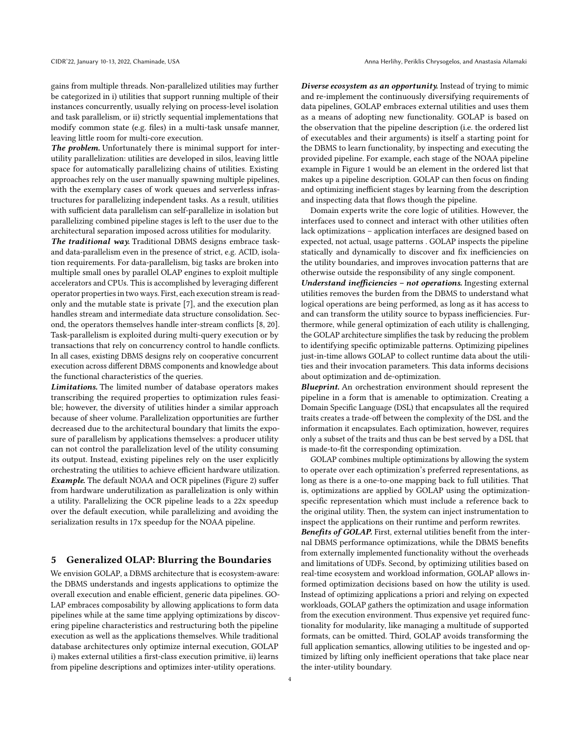CIDR'22, January 10-13, 2022, Chaminade, USA Anna Herlihy, Periklis Chrysogelos, and Anastasia Ailamaki

gains from multiple threads. Non-parallelized utilities may further be categorized in i) utilities that support running multiple of their instances concurrently, usually relying on process-level isolation and task parallelism, or ii) strictly sequential implementations that modify common state (e.g. files) in a multi-task unsafe manner, leaving little room for multi-core execution.

The problem. Unfortunately there is minimal support for interutility parallelization: utilities are developed in silos, leaving little space for automatically parallelizing chains of utilities. Existing approaches rely on the user manually spawning multiple pipelines, with the exemplary cases of work queues and serverless infrastructures for parallelizing independent tasks. As a result, utilities with sufficient data parallelism can self-parallelize in isolation but parallelizing combined pipeline stages is left to the user due to the architectural separation imposed across utilities for modularity.

The traditional way. Traditional DBMS designs embrace taskand data-parallelism even in the presence of strict, e.g. ACID, isolation requirements. For data-parallelism, big tasks are broken into multiple small ones by parallel OLAP engines to exploit multiple accelerators and CPUs. This is accomplished by leveraging different operator properties in two ways. First, each execution stream is readonly and the mutable state is private [\[7\]](#page-7-27), and the execution plan handles stream and intermediate data structure consolidation. Second, the operators themselves handle inter-stream conflicts [\[8,](#page-7-28) [20\]](#page-7-7). Task-parallelism is exploited during multi-query execution or by transactions that rely on concurrency control to handle conflicts. In all cases, existing DBMS designs rely on cooperative concurrent execution across different DBMS components and knowledge about the functional characteristics of the queries.

Limitations. The limited number of database operators makes transcribing the required properties to optimization rules feasible; however, the diversity of utilities hinder a similar approach because of sheer volume. Parallelization opportunities are further decreased due to the architectural boundary that limits the exposure of parallelism by applications themselves: a producer utility can not control the parallelization level of the utility consuming its output. Instead, existing pipelines rely on the user explicitly orchestrating the utilities to achieve efficient hardware utilization. Example. The default NOAA and OCR pipelines (Figure [2\)](#page-2-0) suffer from hardware underutilization as parallelization is only within a utility. Parallelizing the OCR pipeline leads to a 22x speedup over the default execution, while parallelizing and avoiding the serialization results in 17x speedup for the NOAA pipeline.

## <span id="page-3-0"></span>5 Generalized OLAP: Blurring the Boundaries

We envision GOLAP, a DBMS architecture that is ecosystem-aware: the DBMS understands and ingests applications to optimize the overall execution and enable efficient, generic data pipelines. GO-LAP embraces composability by allowing applications to form data pipelines while at the same time applying optimizations by discovering pipeline characteristics and restructuring both the pipeline execution as well as the applications themselves. While traditional database architectures only optimize internal execution, GOLAP i) makes external utilities a first-class execution primitive, ii) learns from pipeline descriptions and optimizes inter-utility operations.

Diverse ecosystem as an opportunity. Instead of trying to mimic and re-implement the continuously diversifying requirements of data pipelines, GOLAP embraces external utilities and uses them as a means of adopting new functionality. GOLAP is based on the observation that the pipeline description (i.e. the ordered list of executables and their arguments) is itself a starting point for the DBMS to learn functionality, by inspecting and executing the provided pipeline. For example, each stage of the NOAA pipeline example in Figure [1](#page-1-0) would be an element in the ordered list that makes up a pipeline description. GOLAP can then focus on finding and optimizing inefficient stages by learning from the description and inspecting data that flows though the pipeline.

Domain experts write the core logic of utilities. However, the interfaces used to connect and interact with other utilities often lack optimizations – application interfaces are designed based on expected, not actual, usage patterns . GOLAP inspects the pipeline statically and dynamically to discover and fix inefficiencies on the utility boundaries, and improves invocation patterns that are otherwise outside the responsibility of any single component.

Understand inefficiencies – not operations. Ingesting external utilities removes the burden from the DBMS to understand what logical operations are being performed, as long as it has access to and can transform the utility source to bypass inefficiencies. Furthermore, while general optimization of each utility is challenging, the GOLAP architecture simplifies the task by reducing the problem to identifying specific optimizable patterns. Optimizing pipelines just-in-time allows GOLAP to collect runtime data about the utilities and their invocation parameters. This data informs decisions about optimization and de-optimization.

**Blueprint.** An orchestration environment should represent the pipeline in a form that is amenable to optimization. Creating a Domain Specific Language (DSL) that encapsulates all the required traits creates a trade-off between the complexity of the DSL and the information it encapsulates. Each optimization, however, requires only a subset of the traits and thus can be best served by a DSL that is made-to-fit the corresponding optimization.

GOLAP combines multiple optimizations by allowing the system to operate over each optimization's preferred representations, as long as there is a one-to-one mapping back to full utilities. That is, optimizations are applied by GOLAP using the optimizationspecific representation which must include a reference back to the original utility. Then, the system can inject instrumentation to inspect the applications on their runtime and perform rewrites.

Benefits of GOLAP. First, external utilities benefit from the internal DBMS performance optimizations, while the DBMS benefits from externally implemented functionality without the overheads and limitations of UDFs. Second, by optimizing utilities based on real-time ecosystem and workload information, GOLAP allows informed optimization decisions based on how the utility is used. Instead of optimizing applications a priori and relying on expected workloads, GOLAP gathers the optimization and usage information from the execution environment. Thus expensive yet required functionality for modularity, like managing a multitude of supported formats, can be omitted. Third, GOLAP avoids transforming the full application semantics, allowing utilities to be ingested and optimized by lifting only inefficient operations that take place near the inter-utility boundary.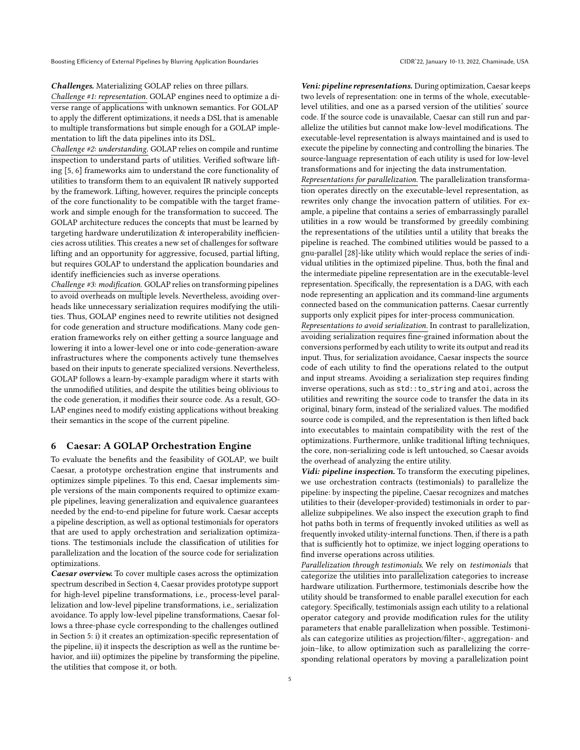Challenges. Materializing GOLAP relies on three pillars.

Challenge #1: representation. GOLAP engines need to optimize a diverse range of applications with unknown semantics. For GOLAP to apply the different optimizations, it needs a DSL that is amenable to multiple transformations but simple enough for a GOLAP implementation to lift the data pipelines into its DSL.

Challenge #2: understanding. GOLAP relies on compile and runtime inspection to understand parts of utilities. Verified software lifting [\[5,](#page-7-2) [6\]](#page-7-3) frameworks aim to understand the core functionality of utilities to transform them to an equivalent IR natively supported by the framework. Lifting, however, requires the principle concepts of the core functionality to be compatible with the target framework and simple enough for the transformation to succeed. The GOLAP architecture reduces the concepts that must be learned by targeting hardware underutilization & interoperability inefficiencies across utilities. This creates a new set of challenges for software lifting and an opportunity for aggressive, focused, partial lifting, but requires GOLAP to understand the application boundaries and identify inefficiencies such as inverse operations.

Challenge #3: modification. GOLAP relies on transforming pipelines to avoid overheads on multiple levels. Nevertheless, avoiding overheads like unnecessary serialization requires modifying the utilities. Thus, GOLAP engines need to rewrite utilities not designed for code generation and structure modifications. Many code generation frameworks rely on either getting a source language and lowering it into a lower-level one or into code-generation-aware infrastructures where the components actively tune themselves based on their inputs to generate specialized versions. Nevertheless, GOLAP follows a learn-by-example paradigm where it starts with the unmodified utilities, and despite the utilities being oblivious to the code generation, it modifies their source code. As a result, GO-LAP engines need to modify existing applications without breaking their semantics in the scope of the current pipeline.

# 6 Caesar: A GOLAP Orchestration Engine

To evaluate the benefits and the feasibility of GOLAP, we built Caesar, a prototype orchestration engine that instruments and optimizes simple pipelines. To this end, Caesar implements simple versions of the main components required to optimize example pipelines, leaving generalization and equivalence guarantees needed by the end-to-end pipeline for future work. Caesar accepts a pipeline description, as well as optional testimonials for operators that are used to apply orchestration and serialization optimizations. The testimonials include the classification of utilities for parallelization and the location of the source code for serialization optimizations.

Caesar overview. To cover multiple cases across the optimization spectrum described in Section [4,](#page-2-1) Caesar provides prototype support for high-level pipeline transformations, i.e., process-level parallelization and low-level pipeline transformations, i.e., serialization avoidance. To apply low-level pipeline transformations, Caesar follows a three-phase cycle corresponding to the challenges outlined in Section [5:](#page-3-0) i) it creates an optimization-specific representation of the pipeline, ii) it inspects the description as well as the runtime behavior, and iii) optimizes the pipeline by transforming the pipeline, the utilities that compose it, or both.

Veni: pipeline representations. During optimization, Caesar keeps two levels of representation: one in terms of the whole, executablelevel utilities, and one as a parsed version of the utilities' source code. If the source code is unavailable, Caesar can still run and parallelize the utilities but cannot make low-level modifications. The executable-level representation is always maintained and is used to execute the pipeline by connecting and controlling the binaries. The source-language representation of each utility is used for low-level transformations and for injecting the data instrumentation.

Representations for parallelization. The parallelization transformation operates directly on the executable-level representation, as rewrites only change the invocation pattern of utilities. For example, a pipeline that contains a series of embarrassingly parallel utilities in a row would be transformed by greedily combining the representations of the utilities until a utility that breaks the pipeline is reached. The combined utilities would be passed to a gnu-parallel [\[28\]](#page-7-29)-like utility which would replace the series of individual utilities in the optimized pipeline. Thus, both the final and the intermediate pipeline representation are in the executable-level representation. Specifically, the representation is a DAG, with each node representing an application and its command-line arguments connected based on the communication patterns. Caesar currently supports only explicit pipes for inter-process communication.

Representations to avoid serialization. In contrast to parallelization, avoiding serialization requires fine-grained information about the conversions performed by each utility to write its output and read its input. Thus, for serialization avoidance, Caesar inspects the source code of each utility to find the operations related to the output and input streams. Avoiding a serialization step requires finding inverse operations, such as std::to\_string and atoi, across the utilities and rewriting the source code to transfer the data in its original, binary form, instead of the serialized values. The modified source code is compiled, and the representation is then lifted back into executables to maintain compatibility with the rest of the optimizations. Furthermore, unlike traditional lifting techniques, the core, non-serializing code is left untouched, so Caesar avoids the overhead of analyzing the entire utility.

Vidi: *pipeline inspection*. To transform the executing pipelines, we use orchestration contracts (testimonials) to parallelize the pipeline: by inspecting the pipeline, Caesar recognizes and matches utilities to their (developer-provided) testimonials in order to parallelize subpipelines. We also inspect the execution graph to find hot paths both in terms of frequently invoked utilities as well as frequently invoked utility-internal functions. Then, if there is a path that is sufficiently hot to optimize, we inject logging operations to find inverse operations across utilities.

Parallelization through testimonials. We rely on testimonials that categorize the utilities into parallelization categories to increase hardware utilization. Furthermore, testimonials describe how the utility should be transformed to enable parallel execution for each category. Specifically, testimonials assign each utility to a relational operator category and provide modification rules for the utility parameters that enable parallelization when possible. Testimonials can categorize utilities as projection/filter-, aggregation- and join–like, to allow optimization such as parallelizing the corresponding relational operators by moving a parallelization point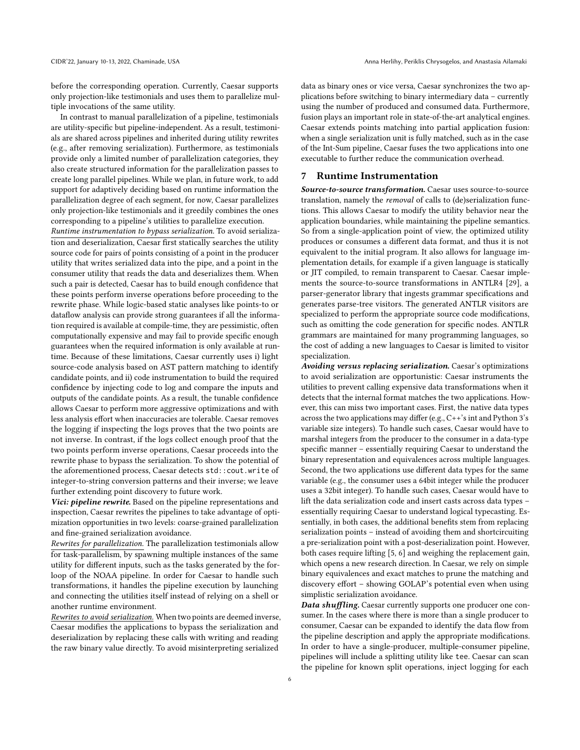before the corresponding operation. Currently, Caesar supports only projection-like testimonials and uses them to parallelize multiple invocations of the same utility.

In contrast to manual parallelization of a pipeline, testimonials are utility-specific but pipeline-independent. As a result, testimonials are shared across pipelines and inherited during utility rewrites (e.g., after removing serialization). Furthermore, as testimonials provide only a limited number of parallelization categories, they also create structured information for the parallelization passes to create long parallel pipelines. While we plan, in future work, to add support for adaptively deciding based on runtime information the parallelization degree of each segment, for now, Caesar parallelizes only projection-like testimonials and it greedily combines the ones corresponding to a pipeline's utilities to parallelize execution.

Runtime instrumentation to bypass serialization. To avoid serialization and deserialization, Caesar first statically searches the utility source code for pairs of points consisting of a point in the producer utility that writes serialized data into the pipe, and a point in the consumer utility that reads the data and deserializes them. When such a pair is detected, Caesar has to build enough confidence that these points perform inverse operations before proceeding to the rewrite phase. While logic-based static analyses like points-to or dataflow analysis can provide strong guarantees if all the information required is available at compile-time, they are pessimistic, often computationally expensive and may fail to provide specific enough guarantees when the required information is only available at runtime. Because of these limitations, Caesar currently uses i) light source-code analysis based on AST pattern matching to identify candidate points, and ii) code instrumentation to build the required confidence by injecting code to log and compare the inputs and outputs of the candidate points. As a result, the tunable confidence allows Caesar to perform more aggressive optimizations and with less analysis effort when inaccuracies are tolerable. Caesar removes the logging if inspecting the logs proves that the two points are not inverse. In contrast, if the logs collect enough proof that the two points perform inverse operations, Caesar proceeds into the rewrite phase to bypass the serialization. To show the potential of the aforementioned process, Caesar detects std::cout.write of integer-to-string conversion patterns and their inverse; we leave further extending point discovery to future work.

Vici: *pipeline rewrite*. Based on the pipeline representations and inspection, Caesar rewrites the pipelines to take advantage of optimization opportunities in two levels: coarse-grained parallelization and fine-grained serialization avoidance.

Rewrites for parallelization. The parallelization testimonials allow for task-parallelism, by spawning multiple instances of the same utility for different inputs, such as the tasks generated by the forloop of the NOAA pipeline. In order for Caesar to handle such transformations, it handles the pipeline execution by launching and connecting the utilities itself instead of relying on a shell or another runtime environment.

Rewrites to avoid serialization. When two points are deemed inverse, Caesar modifies the applications to bypass the serialization and deserialization by replacing these calls with writing and reading the raw binary value directly. To avoid misinterpreting serialized

data as binary ones or vice versa, Caesar synchronizes the two applications before switching to binary intermediary data – currently using the number of produced and consumed data. Furthermore, fusion plays an important role in state-of-the-art analytical engines. Caesar extends points matching into partial application fusion: when a single serialization unit is fully matched, such as in the case of the Int-Sum pipeline, Caesar fuses the two applications into one executable to further reduce the communication overhead.

# 7 Runtime Instrumentation

Source-to-source transformation. Caesar uses source-to-source translation, namely the removal of calls to (de)serialization functions. This allows Caesar to modify the utility behavior near the application boundaries, while maintaining the pipeline semantics. So from a single-application point of view, the optimized utility produces or consumes a different data format, and thus it is not equivalent to the initial program. It also allows for language implementation details, for example if a given language is statically or JIT compiled, to remain transparent to Caesar. Caesar implements the source-to-source transformations in ANTLR4 [\[29\]](#page-7-30), a parser-generator library that ingests grammar specifications and generates parse-tree visitors. The generated ANTLR visitors are specialized to perform the appropriate source code modifications, such as omitting the code generation for specific nodes. ANTLR grammars are maintained for many programming languages, so the cost of adding a new languages to Caesar is limited to visitor specialization.

Avoiding versus replacing serialization. Caesar's optimizations to avoid serialization are opportunistic: Caesar instruments the utilities to prevent calling expensive data transformations when it detects that the internal format matches the two applications. However, this can miss two important cases. First, the native data types across the two applications may differ (e.g., C++'s int and Python 3's variable size integers). To handle such cases, Caesar would have to marshal integers from the producer to the consumer in a data-type specific manner – essentially requiring Caesar to understand the binary representation and equivalences across multiple languages. Second, the two applications use different data types for the same variable (e.g., the consumer uses a 64bit integer while the producer uses a 32bit integer). To handle such cases, Caesar would have to lift the data serialization code and insert casts across data types – essentially requiring Caesar to understand logical typecasting. Essentially, in both cases, the additional benefits stem from replacing serialization points – instead of avoiding them and shortcircuiting a pre-serialization point with a post-deserialization point. However, both cases require lifting [\[5,](#page-7-2) [6\]](#page-7-3) and weighing the replacement gain, which opens a new research direction. In Caesar, we rely on simple binary equivalences and exact matches to prune the matching and discovery effort – showing GOLAP's potential even when using simplistic serialization avoidance.

Data shuffling. Caesar currently supports one producer one consumer. In the cases where there is more than a single producer to consumer, Caesar can be expanded to identify the data flow from the pipeline description and apply the appropriate modifications. In order to have a single-producer, multiple-consumer pipeline, pipelines will include a splitting utility like tee. Caesar can scan the pipeline for known split operations, inject logging for each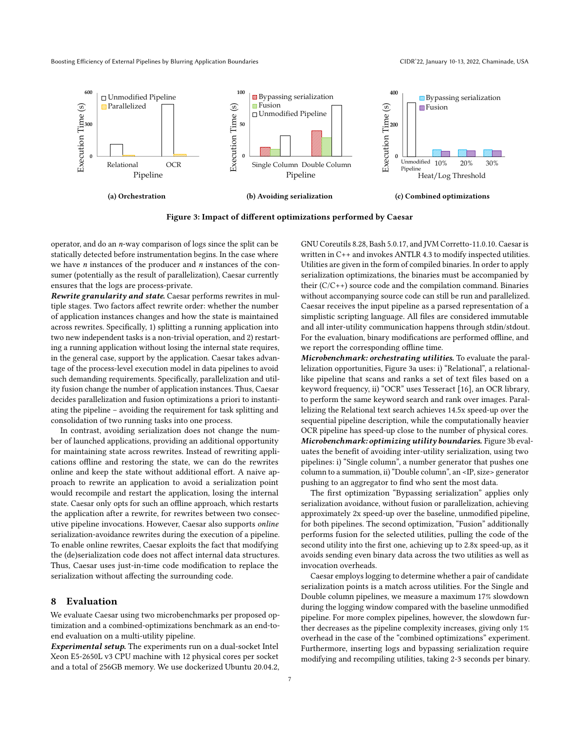<span id="page-6-0"></span>Boosting Efficiency of External Pipelines by Blurring Application Boundaries Communication Communication CIDR'22, January 10-13, 2022, Chaminade, USA



Figure 3: Impact of different optimizations performed by Caesar

operator, and do an n-way comparison of logs since the split can be statically detected before instrumentation begins. In the case where we have  $n$  instances of the producer and  $n$  instances of the consumer (potentially as the result of parallelization), Caesar currently ensures that the logs are process-private.

Rewrite granularity and state. Caesar performs rewrites in multiple stages. Two factors affect rewrite order: whether the number of application instances changes and how the state is maintained across rewrites. Specifically, 1) splitting a running application into two new independent tasks is a non-trivial operation, and 2) restarting a running application without losing the internal state requires, in the general case, support by the application. Caesar takes advantage of the process-level execution model in data pipelines to avoid such demanding requirements. Specifically, parallelization and utility fusion change the number of application instances. Thus, Caesar decides parallelization and fusion optimizations a priori to instantiating the pipeline – avoiding the requirement for task splitting and consolidation of two running tasks into one process.

In contrast, avoiding serialization does not change the number of launched applications, providing an additional opportunity for maintaining state across rewrites. Instead of rewriting applications offline and restoring the state, we can do the rewrites online and keep the state without additional effort. A naive approach to rewrite an application to avoid a serialization point would recompile and restart the application, losing the internal state. Caesar only opts for such an offline approach, which restarts the application after a rewrite, for rewrites between two consecutive pipeline invocations. However, Caesar also supports online serialization-avoidance rewrites during the execution of a pipeline. To enable online rewrites, Caesar exploits the fact that modifying the (de)serialization code does not affect internal data structures. Thus, Caesar uses just-in-time code modification to replace the serialization without affecting the surrounding code.

#### 8 Evaluation

We evaluate Caesar using two microbenchmarks per proposed optimization and a combined-optimizations benchmark as an end-toend evaluation on a multi-utility pipeline.

Experimental setup. The experiments run on a dual-socket Intel Xeon E5-2650L v3 CPU machine with 12 physical cores per socket and a total of 256GB memory. We use dockerized Ubuntu 20.04.2,

GNU Coreutils 8.28, Bash 5.0.17, and JVM Corretto-11.0.10. Caesar is written in C++ and invokes ANTLR 4.3 to modify inspected utilities. Utilities are given in the form of compiled binaries. In order to apply serialization optimizations, the binaries must be accompanied by their  $(C/C++)$  source code and the compilation command. Binaries without accompanying source code can still be run and parallelized. Caesar receives the input pipeline as a parsed representation of a simplistic scripting language. All files are considered immutable and all inter-utility communication happens through stdin/stdout. For the evaluation, binary modifications are performed offline, and we report the corresponding offline time.

Microbenchmark: orchestrating utilities. To evaluate the parallelization opportunities, Figure [3a](#page-6-0) uses: i) "Relational", a relationallike pipeline that scans and ranks a set of text files based on a keyword frequency, ii) "OCR" uses Tesseract [\[16\]](#page-7-31), an OCR library, to perform the same keyword search and rank over images. Parallelizing the Relational text search achieves 14.5x speed-up over the sequential pipeline description, while the computationally heavier OCR pipeline has speed-up close to the number of physical cores. Microbenchmark: optimizing utility boundaries. Figure [3b](#page-6-0) evaluates the benefit of avoiding inter-utility serialization, using two pipelines: i) "Single column", a number generator that pushes one column to a summation, ii) "Double column", an <IP, size> generator pushing to an aggregator to find who sent the most data.

The first optimization "Bypassing serialization" applies only serialization avoidance, without fusion or parallelization, achieving approximately 2x speed-up over the baseline, unmodified pipeline, for both pipelines. The second optimization, "Fusion" additionally performs fusion for the selected utilities, pulling the code of the second utility into the first one, achieving up to 2.8x speed-up, as it avoids sending even binary data across the two utilities as well as invocation overheads.

Caesar employs logging to determine whether a pair of candidate serialization points is a match across utilities. For the Single and Double column pipelines, we measure a maximum 17% slowdown during the logging window compared with the baseline unmodified pipeline. For more complex pipelines, however, the slowdown further decreases as the pipeline complexity increases, giving only 1% overhead in the case of the "combined optimizations" experiment. Furthermore, inserting logs and bypassing serialization require modifying and recompiling utilities, taking 2-3 seconds per binary.